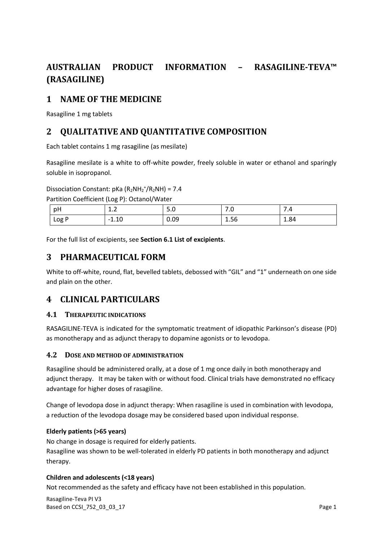# **AUSTRALIAN PRODUCT INFORMATION – RASAGILINE-TEVA™ (RASAGILINE)**

# **1 NAME OF THE MEDICINE**

Rasagiline 1 mg tablets

# **2 QUALITATIVE AND QUANTITATIVE COMPOSITION**

Each tablet contains 1 mg rasagiline (as mesilate)

Rasagiline mesilate is a white to off-white powder, freely soluble in water or ethanol and sparingly soluble in isopropanol.

Dissociation Constant:  $pKa (R_2NH_2^+/R_2NH) = 7.4$ 

Partition Coefficient (Log P): Octanol/Water

| pH    | $\overline{ }$<br><b></b> | -<br>J.U | . . U | 7.4  |
|-------|---------------------------|----------|-------|------|
| Log P | $-1.10$                   | 0.09     | 1.56  | 1.84 |

For the full list of excipients, see **Section 6.1 List of excipients**.

## **3 PHARMACEUTICAL FORM**

White to off-white, round, flat, bevelled tablets, debossed with "GIL" and "1" underneath on one side and plain on the other.

## **4 CLINICAL PARTICULARS**

#### **4.1 THERAPEUTIC INDICATIONS**

RASAGILINE-TEVA is indicated for the symptomatic treatment of idiopathic Parkinson's disease (PD) as monotherapy and as adjunct therapy to dopamine agonists or to levodopa.

#### **4.2 DOSE AND METHOD OF ADMINISTRATION**

Rasagiline should be administered orally, at a dose of 1 mg once daily in both monotherapy and adjunct therapy. It may be taken with or without food. Clinical trials have demonstrated no efficacy advantage for higher doses of rasagiline.

Change of levodopa dose in adjunct therapy: When rasagiline is used in combination with levodopa, a reduction of the levodopa dosage may be considered based upon individual response.

#### **Elderly patients (>65 years)**

No change in dosage is required for elderly patients. Rasagiline was shown to be well-tolerated in elderly PD patients in both monotherapy and adjunct therapy.

## **Children and adolescents (<18 years)**

Not recommended as the safety and efficacy have not been established in this population.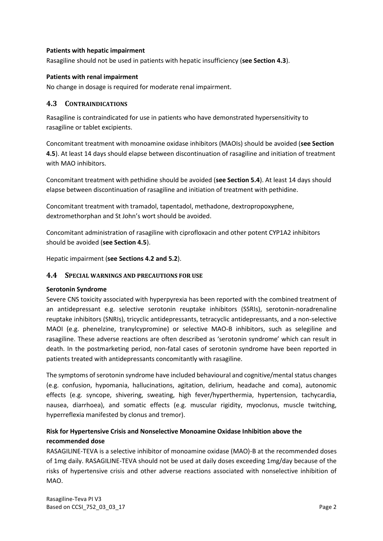#### **Patients with hepatic impairment**

Rasagiline should not be used in patients with hepatic insufficiency (**see Section 4.3**).

#### **Patients with renal impairment**

No change in dosage is required for moderate renal impairment.

### **4.3 CONTRAINDICATIONS**

Rasagiline is contraindicated for use in patients who have demonstrated hypersensitivity to rasagiline or tablet excipients.

Concomitant treatment with monoamine oxidase inhibitors (MAOIs) should be avoided (**see Section 4.5**). At least 14 days should elapse between discontinuation of rasagiline and initiation of treatment with MAO inhibitors.

Concomitant treatment with pethidine should be avoided (**see Section 5.4**). At least 14 days should elapse between discontinuation of rasagiline and initiation of treatment with pethidine.

Concomitant treatment with tramadol, tapentadol, methadone, dextropropoxyphene, dextromethorphan and St John's wort should be avoided.

Concomitant administration of rasagiline with ciprofloxacin and other potent CYP1A2 inhibitors should be avoided (**see Section 4.5**).

Hepatic impairment (**see Sections 4.2 and 5.2**).

#### **4.4 SPECIAL WARNINGS AND PRECAUTIONS FOR USE**

#### **Serotonin Syndrome**

Severe CNS toxicity associated with hyperpyrexia has been reported with the combined treatment of an antidepressant e.g. selective serotonin reuptake inhibitors (SSRIs), serotonin-noradrenaline reuptake inhibitors (SNRIs), tricyclic antidepressants, tetracyclic antidepressants, and a non-selective MAOI (e.g. phenelzine, tranylcypromine) or selective MAO-B inhibitors, such as selegiline and rasagiline. These adverse reactions are often described as 'serotonin syndrome' which can result in death. In the postmarketing period, non-fatal cases of serotonin syndrome have been reported in patients treated with antidepressants concomitantly with rasagiline.

The symptoms of serotonin syndrome have included behavioural and cognitive/mental status changes (e.g. confusion, hypomania, hallucinations, agitation, delirium, headache and coma), autonomic effects (e.g. syncope, shivering, sweating, high fever/hyperthermia, hypertension, tachycardia, nausea, diarrhoea), and somatic effects (e.g. muscular rigidity, myoclonus, muscle twitching, hyperreflexia manifested by clonus and tremor).

## **Risk for Hypertensive Crisis and Nonselective Monoamine Oxidase Inhibition above the recommended dose**

RASAGILINE-TEVA is a selective inhibitor of monoamine oxidase (MAO)-B at the recommended doses of 1mg daily. RASAGILINE-TEVA should not be used at daily doses exceeding 1mg/day because of the risks of hypertensive crisis and other adverse reactions associated with nonselective inhibition of MAO.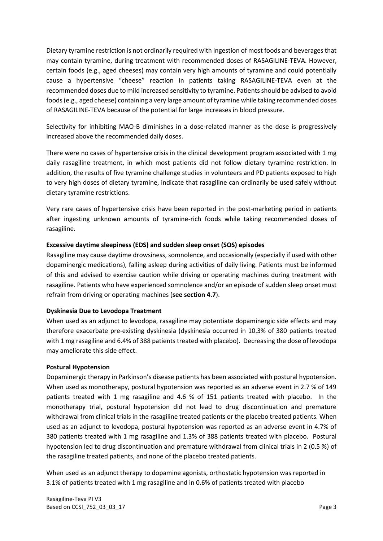Dietary tyramine restriction is not ordinarily required with ingestion of most foods and beverages that may contain tyramine, during treatment with recommended doses of RASAGILINE-TEVA. However, certain foods (e.g., aged cheeses) may contain very high amounts of tyramine and could potentially cause a hypertensive "cheese" reaction in patients taking RASAGILINE-TEVA even at the recommended doses due to mild increased sensitivity to tyramine. Patients should be advised to avoid foods (e.g., aged cheese) containing a very large amount of tyramine while taking recommended doses of RASAGILINE-TEVA because of the potential for large increases in blood pressure.

Selectivity for inhibiting MAO-B diminishes in a dose-related manner as the dose is progressively increased above the recommended daily doses.

There were no cases of hypertensive crisis in the clinical development program associated with 1 mg daily rasagiline treatment, in which most patients did not follow dietary tyramine restriction. In addition, the results of five tyramine challenge studies in volunteers and PD patients exposed to high to very high doses of dietary tyramine, indicate that rasagiline can ordinarily be used safely without dietary tyramine restrictions.

Very rare cases of hypertensive crisis have been reported in the post-marketing period in patients after ingesting unknown amounts of tyramine-rich foods while taking recommended doses of rasagiline.

#### **Excessive daytime sleepiness (EDS) and sudden sleep onset (SOS) episodes**

Rasagiline may cause daytime drowsiness, somnolence, and occasionally (especially if used with other dopaminergic medications), falling asleep during activities of daily living. Patients must be informed of this and advised to exercise caution while driving or operating machines during treatment with rasagiline. Patients who have experienced somnolence and/or an episode of sudden sleep onset must refrain from driving or operating machines (**see section 4.7**).

#### **Dyskinesia Due to Levodopa Treatment**

When used as an adjunct to levodopa, rasagiline may potentiate dopaminergic side effects and may therefore exacerbate pre-existing dyskinesia (dyskinesia occurred in 10.3% of 380 patients treated with 1 mg rasagiline and 6.4% of 388 patients treated with placebo). Decreasing the dose of levodopa may ameliorate this side effect.

#### **Postural Hypotension**

Dopaminergic therapy in Parkinson's disease patients has been associated with postural hypotension. When used as monotherapy, postural hypotension was reported as an adverse event in 2.7 % of 149 patients treated with 1 mg rasagiline and 4.6 % of 151 patients treated with placebo. In the monotherapy trial, postural hypotension did not lead to drug discontinuation and premature withdrawal from clinical trials in the rasagiline treated patients or the placebo treated patients. When used as an adjunct to levodopa, postural hypotension was reported as an adverse event in 4.7% of 380 patients treated with 1 mg rasagiline and 1.3% of 388 patients treated with placebo. Postural hypotension led to drug discontinuation and premature withdrawal from clinical trials in 2 (0.5 %) of the rasagiline treated patients, and none of the placebo treated patients.

When used as an adjunct therapy to dopamine agonists, orthostatic hypotension was reported in 3.1% of patients treated with 1 mg rasagiline and in 0.6% of patients treated with placebo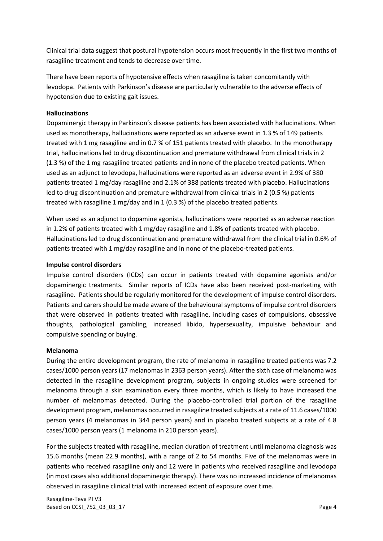Clinical trial data suggest that postural hypotension occurs most frequently in the first two months of rasagiline treatment and tends to decrease over time.

There have been reports of hypotensive effects when rasagiline is taken concomitantly with levodopa. Patients with Parkinson's disease are particularly vulnerable to the adverse effects of hypotension due to existing gait issues.

#### **Hallucinations**

Dopaminergic therapy in Parkinson's disease patients has been associated with hallucinations. When used as monotherapy, hallucinations were reported as an adverse event in 1.3 % of 149 patients treated with 1 mg rasagiline and in 0.7 % of 151 patients treated with placebo. In the monotherapy trial, hallucinations led to drug discontinuation and premature withdrawal from clinical trials in 2 (1.3 %) of the 1 mg rasagiline treated patients and in none of the placebo treated patients. When used as an adjunct to levodopa, hallucinations were reported as an adverse event in 2.9% of 380 patients treated 1 mg/day rasagiline and 2.1% of 388 patients treated with placebo. Hallucinations led to drug discontinuation and premature withdrawal from clinical trials in 2 (0.5 %) patients treated with rasagiline 1 mg/day and in 1 (0.3 %) of the placebo treated patients.

When used as an adjunct to dopamine agonists, hallucinations were reported as an adverse reaction in 1.2% of patients treated with 1 mg/day rasagiline and 1.8% of patients treated with placebo. Hallucinations led to drug discontinuation and premature withdrawal from the clinical trial in 0.6% of patients treated with 1 mg/day rasagiline and in none of the placebo-treated patients.

#### **Impulse control disorders**

Impulse control disorders (ICDs) can occur in patients treated with dopamine agonists and/or dopaminergic treatments. Similar reports of ICDs have also been received post-marketing with rasagiline. Patients should be regularly monitored for the development of impulse control disorders. Patients and carers should be made aware of the behavioural symptoms of impulse control disorders that were observed in patients treated with rasagiline, including cases of compulsions, obsessive thoughts, pathological gambling, increased libido, hypersexuality, impulsive behaviour and compulsive spending or buying.

#### **Melanoma**

During the entire development program, the rate of melanoma in rasagiline treated patients was 7.2 cases/1000 person years (17 melanomas in 2363 person years). After the sixth case of melanoma was detected in the rasagiline development program, subjects in ongoing studies were screened for melanoma through a skin examination every three months, which is likely to have increased the number of melanomas detected. During the placebo-controlled trial portion of the rasagiline development program, melanomas occurred in rasagiline treated subjects at a rate of 11.6 cases/1000 person years (4 melanomas in 344 person years) and in placebo treated subjects at a rate of 4.8 cases/1000 person years (1 melanoma in 210 person years).

For the subjects treated with rasagiline, median duration of treatment until melanoma diagnosis was 15.6 months (mean 22.9 months), with a range of 2 to 54 months. Five of the melanomas were in patients who received rasagiline only and 12 were in patients who received rasagiline and levodopa (in most cases also additional dopaminergic therapy). There was no increased incidence of melanomas observed in rasagiline clinical trial with increased extent of exposure over time.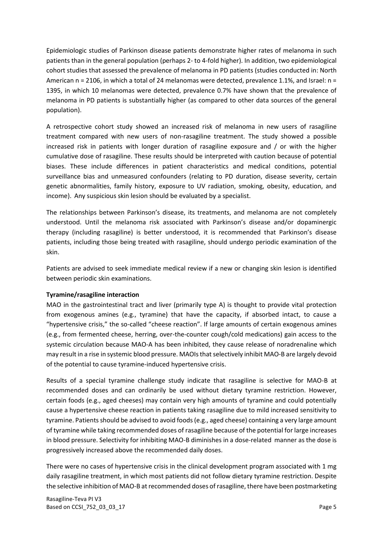Epidemiologic studies of Parkinson disease patients demonstrate higher rates of melanoma in such patients than in the general population (perhaps 2- to 4-fold higher). In addition, two epidemiological cohort studies that assessed the prevalence of melanoma in PD patients (studies conducted in: North American n = 2106, in which a total of 24 melanomas were detected, prevalence 1.1%, and Israel: n = 1395, in which 10 melanomas were detected, prevalence 0.7% have shown that the prevalence of melanoma in PD patients is substantially higher (as compared to other data sources of the general population).

A retrospective cohort study showed an increased risk of melanoma in new users of rasagiline treatment compared with new users of non-rasagiline treatment. The study showed a possible increased risk in patients with longer duration of rasagiline exposure and / or with the higher cumulative dose of rasagiline. These results should be interpreted with caution because of potential biases. These include differences in patient characteristics and medical conditions, potential surveillance bias and unmeasured confounders (relating to PD duration, disease severity, certain genetic abnormalities, family history, exposure to UV radiation, smoking, obesity, education, and income). Any suspicious skin lesion should be evaluated by a specialist.

The relationships between Parkinson's disease, its treatments, and melanoma are not completely understood. Until the melanoma risk associated with Parkinson's disease and/or dopaminergic therapy (including rasagiline) is better understood, it is recommended that Parkinson's disease patients, including those being treated with rasagiline, should undergo periodic examination of the skin.

Patients are advised to seek immediate medical review if a new or changing skin lesion is identified between periodic skin examinations.

#### **Tyramine/rasagiline interaction**

MAO in the gastrointestinal tract and liver (primarily type A) is thought to provide vital protection from exogenous amines (e.g., tyramine) that have the capacity, if absorbed intact, to cause a "hypertensive crisis," the so-called "cheese reaction". If large amounts of certain exogenous amines (e.g., from fermented cheese, herring, over-the-counter cough/cold medications) gain access to the systemic circulation because MAO-A has been inhibited, they cause release of noradrenaline which may result in a rise in systemic blood pressure. MAOIs that selectively inhibit MAO-B are largely devoid of the potential to cause tyramine-induced hypertensive crisis.

Results of a special tyramine challenge study indicate that rasagiline is selective for MAO-B at recommended doses and can ordinarily be used without dietary tyramine restriction. However, certain foods (e.g., aged cheeses) may contain very high amounts of tyramine and could potentially cause a hypertensive cheese reaction in patients taking rasagiline due to mild increased sensitivity to tyramine. Patients should be advised to avoid foods (e.g., aged cheese) containing a very large amount of tyramine while taking recommended doses of rasagiline because of the potential for large increases in blood pressure. Selectivity for inhibiting MAO-B diminishes in a dose-related manner as the dose is progressively increased above the recommended daily doses.

There were no cases of hypertensive crisis in the clinical development program associated with 1 mg daily rasagiline treatment, in which most patients did not follow dietary tyramine restriction. Despite the selective inhibition of MAO-B at recommended doses of rasagiline, there have been postmarketing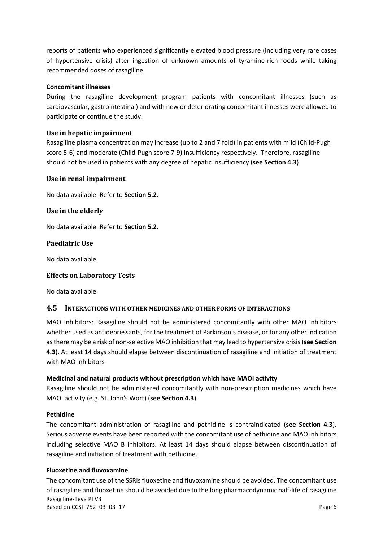reports of patients who experienced significantly elevated blood pressure (including very rare cases of hypertensive crisis) after ingestion of unknown amounts of tyramine-rich foods while taking recommended doses of rasagiline.

#### **Concomitant illnesses**

During the rasagiline development program patients with concomitant illnesses (such as cardiovascular, gastrointestinal) and with new or deteriorating concomitant illnesses were allowed to participate or continue the study.

#### **Use in hepatic impairment**

Rasagiline plasma concentration may increase (up to 2 and 7 fold) in patients with mild (Child-Pugh score 5-6) and moderate (Child-Pugh score 7-9) insufficiency respectively. Therefore, rasagiline should not be used in patients with any degree of hepatic insufficiency (**see Section 4.3**).

#### **Use in renal impairment**

No data available. Refer to **Section 5.2.**

#### **Use in the elderly**

No data available. Refer to **Section 5.2.**

#### **Paediatric Use**

No data available.

#### **Effects on Laboratory Tests**

No data available.

#### **4.5 INTERACTIONS WITH OTHER MEDICINES AND OTHER FORMS OF INTERACTIONS**

MAO Inhibitors: Rasagiline should not be administered concomitantly with other MAO inhibitors whether used as antidepressants, for the treatment of Parkinson's disease, or for any other indication as there may be a risk of non-selective MAO inhibition that may lead to hypertensive crisis (**see Section 4.3**). At least 14 days should elapse between discontinuation of rasagiline and initiation of treatment with MAO inhibitors

#### **Medicinal and natural products without prescription which have MAOI activity**

Rasagiline should not be administered concomitantly with non-prescription medicines which have MAOI activity (e.g. St. John's Wort) (**see Section 4.3**).

#### **Pethidine**

The concomitant administration of rasagiline and pethidine is contraindicated (**see Section 4.3**). Serious adverse events have been reported with the concomitant use of pethidine and MAO inhibitors including selective MAO B inhibitors. At least 14 days should elapse between discontinuation of rasagiline and initiation of treatment with pethidine.

#### **Fluoxetine and fluvoxamine**

Rasagiline-Teva PI V3 Based on CCSI\_752\_03\_03\_17 **Page 6** The concomitant use of the SSRIs fluoxetine and fluvoxamine should be avoided. The concomitant use of rasagiline and fluoxetine should be avoided due to the long pharmacodynamic half-life of rasagiline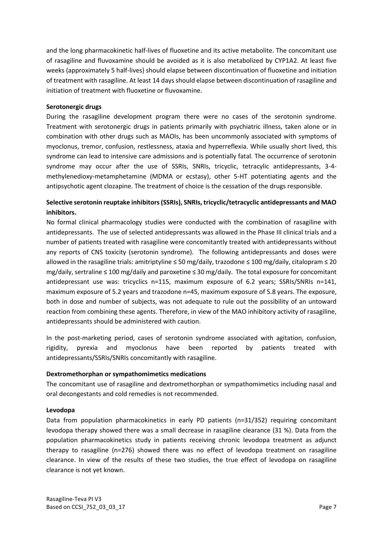and the long pharmacokinetic half-lives of fluoxetine and its active metabolite. The concomitant use of rasagiline and fluvoxamine should be avoided as it is also metabolized by CYP1A2. At least five weeks (approximately 5 half-lives) should elapse between discontinuation of fluoxetine and initiation of treatment with rasagiline. At least 14 days should elapse between discontinuation of rasagiline and initiation of treatment with fluoxetine or fluvoxamine.

#### **Serotonergic drugs**

During the rasagiline development program there were no cases of the serotonin syndrome. Treatment with serotonergic drugs in patients primarily with psychiatric illness, taken alone or in combination with other drugs such as MAOIs, has been uncommonly associated with symptoms of myoclonus, tremor, confusion, restlessness, ataxia and hyperreflexia. While usually short lived, this syndrome can lead to intensive care admissions and is potentially fatal. The occurrence of serotonin syndrome may occur after the use of SSRIs, SNRIs, tricyclic, tetracylic antidepressants, 3-4 methylenedioxy-metamphetamine (MDMA or ecstasy), other 5-HT potentiating agents and the antipsychotic agent clozapine. The treatment of choice is the cessation of the drugs responsible.

## **Selective serotonin reuptake inhibitors (SSRIs), SNRIs, tricyclic/tetracyclic antidepressants and MAO inhibitors.**

No formal clinical pharmacology studies were conducted with the combination of rasagiline with antidepressants. The use of selected antidepressants was allowed in the Phase III clinical trials and a number of patients treated with rasagiline were concomitantly treated with antidepressants without any reports of CNS toxicity (serotonin syndrome). The following antidepressants and doses were allowed in the rasagiline trials: amitriptyline ≤ 50 mg/daily, trazodone ≤ 100 mg/daily, citalopram ≤ 20 mg/daily, sertraline ≤ 100 mg/daily and paroxetine ≤ 30 mg/daily. The total exposure for concomitant antidepressant use was: tricyclics n=115, maximum exposure of 6.2 years; SSRIs/SNRIs n=141, maximum exposure of 5.2 years and trazodone n=45, maximum exposure of 5.8 years. The exposure, both in dose and number of subjects, was not adequate to rule out the possibility of an untoward reaction from combining these agents. Therefore, in view of the MAO inhibitory activity of rasagiline, antidepressants should be administered with caution.

In the post-marketing period, cases of serotonin syndrome associated with agitation, confusion, rigidity, pyrexia and myoclonus have been reported by patients treated with antidepressants/SSRIs/SNRIs concomitantly with rasagiline.

#### **Dextromethorphan or sympathomimetics medications**

The concomitant use of rasagiline and dextromethorphan or sympathomimetics including nasal and oral decongestants and cold remedies is not recommended.

#### **Levodopa**

Data from population pharmacokinetics in early PD patients (n=31/352) requiring concomitant levodopa therapy showed there was a small decrease in rasagiline clearance (31 %). Data from the population pharmacokinetics study in patients receiving chronic levodopa treatment as adjunct therapy to rasagiline (n=276) showed there was no effect of levodopa treatment on rasagiline clearance. In view of the results of these two studies, the true effect of levodopa on rasagiline clearance is not yet known.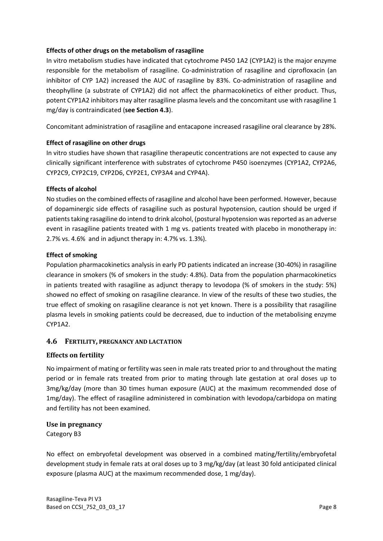#### **Effects of other drugs on the metabolism of rasagiline**

In vitro metabolism studies have indicated that cytochrome P450 1A2 (CYP1A2) is the major enzyme responsible for the metabolism of rasagiline. Co-administration of rasagiline and ciprofloxacin (an inhibitor of CYP 1A2) increased the AUC of rasagiline by 83%. Co-administration of rasagiline and theophylline (a substrate of CYP1A2) did not affect the pharmacokinetics of either product. Thus, potent CYP1A2 inhibitors may alter rasagiline plasma levels and the concomitant use with rasagiline 1 mg/day is contraindicated (**see Section 4.3**).

Concomitant administration of rasagiline and entacapone increased rasagiline oral clearance by 28%.

#### **Effect of rasagiline on other drugs**

In vitro studies have shown that rasagiline therapeutic concentrations are not expected to cause any clinically significant interference with substrates of cytochrome P450 isoenzymes (CYP1A2, CYP2A6, CYP2C9, CYP2C19, CYP2D6, CYP2E1, CYP3A4 and CYP4A).

#### **Effects of alcohol**

No studies on the combined effects of rasagiline and alcohol have been performed. However, because of dopaminergic side effects of rasagiline such as postural hypotension, caution should be urged if patients taking rasagiline do intend to drink alcohol, (postural hypotension was reported as an adverse event in rasagiline patients treated with 1 mg vs. patients treated with placebo in monotherapy in: 2.7% vs. 4.6% and in adjunct therapy in: 4.7% vs. 1.3%).

#### **Effect of smoking**

Population pharmacokinetics analysis in early PD patients indicated an increase (30-40%) in rasagiline clearance in smokers (% of smokers in the study: 4.8%). Data from the population pharmacokinetics in patients treated with rasagiline as adjunct therapy to levodopa (% of smokers in the study: 5%) showed no effect of smoking on rasagiline clearance. In view of the results of these two studies, the true effect of smoking on rasagiline clearance is not yet known. There is a possibility that rasagiline plasma levels in smoking patients could be decreased, due to induction of the metabolising enzyme CYP1A2.

#### **4.6 FERTILITY, PREGNANCY AND LACTATION**

#### **Effects on fertility**

No impairment of mating or fertility was seen in male rats treated prior to and throughout the mating period or in female rats treated from prior to mating through late gestation at oral doses up to 3mg/kg/day (more than 30 times human exposure (AUC) at the maximum recommended dose of 1mg/day). The effect of rasagiline administered in combination with levodopa/carbidopa on mating and fertility has not been examined.

#### **Use in pregnancy**

Category B3

No effect on embryofetal development was observed in a combined mating/fertility/embryofetal development study in female rats at oral doses up to 3 mg/kg/day (at least 30 fold anticipated clinical exposure (plasma AUC) at the maximum recommended dose, 1 mg/day).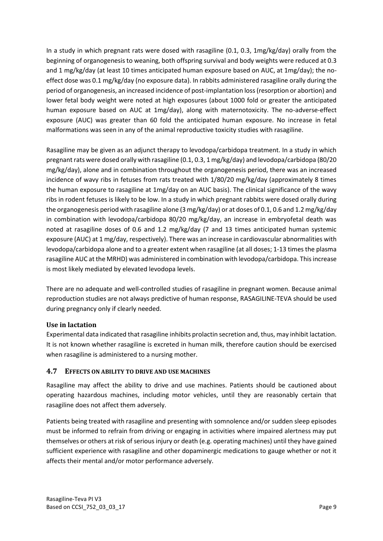In a study in which pregnant rats were dosed with rasagiline (0.1, 0.3, 1mg/kg/day) orally from the beginning of organogenesis to weaning, both offspring survival and body weights were reduced at 0.3 and 1 mg/kg/day (at least 10 times anticipated human exposure based on AUC, at 1mg/day); the noeffect dose was 0.1 mg/kg/day (no exposure data). In rabbits administered rasagiline orally during the period of organogenesis, an increased incidence of post-implantation loss (resorption or abortion) and lower fetal body weight were noted at high exposures (about 1000 fold or greater the anticipated human exposure based on AUC at 1mg/day), along with maternotoxicity. The no-adverse-effect exposure (AUC) was greater than 60 fold the anticipated human exposure. No increase in fetal malformations was seen in any of the animal reproductive toxicity studies with rasagiline.

Rasagiline may be given as an adjunct therapy to levodopa/carbidopa treatment. In a study in which pregnant rats were dosed orally with rasagiline (0.1, 0.3, 1 mg/kg/day) and levodopa/carbidopa (80/20 mg/kg/day), alone and in combination throughout the organogenesis period, there was an increased incidence of wavy ribs in fetuses from rats treated with 1/80/20 mg/kg/day (approximately 8 times the human exposure to rasagiline at 1mg/day on an AUC basis). The clinical significance of the wavy ribs in rodent fetuses is likely to be low. In a study in which pregnant rabbits were dosed orally during the organogenesis period with rasagiline alone (3 mg/kg/day) or at doses of 0.1, 0.6 and 1.2 mg/kg/day in combination with levodopa/carbidopa 80/20 mg/kg/day, an increase in embryofetal death was noted at rasagiline doses of 0.6 and 1.2 mg/kg/day (7 and 13 times anticipated human systemic exposure (AUC) at 1 mg/day, respectively). There was an increase in cardiovascular abnormalities with levodopa/carbidopa alone and to a greater extent when rasagiline (at all doses; 1-13 times the plasma rasagiline AUC at the MRHD) was administered in combination with levodopa/carbidopa. This increase is most likely mediated by elevated levodopa levels.

There are no adequate and well-controlled studies of rasagiline in pregnant women. Because animal reproduction studies are not always predictive of human response, RASAGILINE-TEVA should be used during pregnancy only if clearly needed.

#### **Use in lactation**

Experimental data indicated that rasagiline inhibits prolactin secretion and, thus, may inhibit lactation. It is not known whether rasagiline is excreted in human milk, therefore caution should be exercised when rasagiline is administered to a nursing mother.

## **4.7 EFFECTS ON ABILITY TO DRIVE AND USE MACHINES**

Rasagiline may affect the ability to drive and use machines. Patients should be cautioned about operating hazardous machines, including motor vehicles, until they are reasonably certain that rasagiline does not affect them adversely.

Patients being treated with rasagiline and presenting with somnolence and/or sudden sleep episodes must be informed to refrain from driving or engaging in activities where impaired alertness may put themselves or others at risk of serious injury or death (e.g. operating machines) until they have gained sufficient experience with rasagiline and other dopaminergic medications to gauge whether or not it affects their mental and/or motor performance adversely.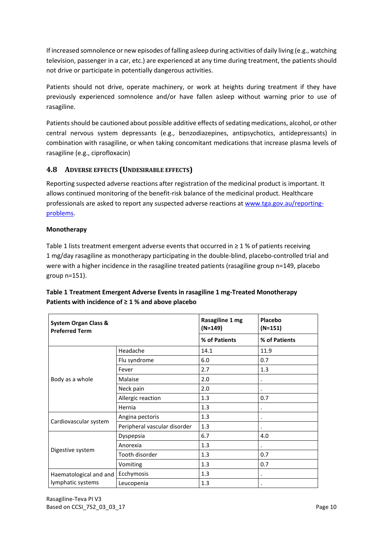If increased somnolence or new episodes of falling asleep during activities of daily living (e.g., watching television, passenger in a car, etc.) are experienced at any time during treatment, the patients should not drive or participate in potentially dangerous activities.

Patients should not drive, operate machinery, or work at heights during treatment if they have previously experienced somnolence and/or have fallen asleep without warning prior to use of rasagiline.

Patients should be cautioned about possible additive effects of sedating medications, alcohol, or other central nervous system depressants (e.g., benzodiazepines, antipsychotics, antidepressants) in combination with rasagiline, or when taking concomitant medications that increase plasma levels of rasagiline (e.g., ciprofloxacin)

## **4.8 ADVERSE EFFECTS (UNDESIRABLE EFFECTS)**

Reporting suspected adverse reactions after registration of the medicinal product is important. It allows continued monitoring of the benefit-risk balance of the medicinal product. Healthcare professionals are asked to report any suspected adverse reactions at [www.tga.gov.au/reporting](http://www.tga.gov.au/reporting-problems)[problems.](http://www.tga.gov.au/reporting-problems)

#### **Monotherapy**

Table 1 lists treatment emergent adverse events that occurred in  $\geq 1$  % of patients receiving 1 mg/day rasagiline as monotherapy participating in the double-blind, placebo-controlled trial and were with a higher incidence in the rasagiline treated patients (rasagiline group n=149, placebo group n=151).

| <b>System Organ Class &amp;</b><br><b>Preferred Term</b> |                              | Rasagiline 1 mg<br>$(N=149)$ | Placebo<br>$(N=151)$ |
|----------------------------------------------------------|------------------------------|------------------------------|----------------------|
|                                                          |                              | % of Patients                | % of Patients        |
|                                                          | Headache                     | 14.1                         | 11.9                 |
|                                                          | Flu syndrome                 | 6.0                          | 0.7                  |
|                                                          | Fever                        | 2.7                          | 1.3                  |
| Body as a whole                                          | Malaise                      | 2.0                          |                      |
|                                                          | Neck pain                    | 2.0                          | $\bullet$            |
|                                                          | Allergic reaction            | 1.3                          | 0.7                  |
|                                                          | Hernia                       | 1.3                          |                      |
|                                                          | Angina pectoris              | 1.3                          |                      |
| Cardiovascular system                                    | Peripheral vascular disorder | 1.3                          |                      |
|                                                          | Dyspepsia                    | 6.7                          | 4.0                  |
|                                                          | Anorexia                     | 1.3                          |                      |
| Digestive system                                         | Tooth disorder               | 1.3                          | 0.7                  |
|                                                          | Vomiting                     | 1.3                          | 0.7                  |
| Haematological and and                                   | Ecchymosis                   | 1.3                          |                      |
| lymphatic systems                                        | Leucopenia                   | 1.3                          |                      |

## **Table 1 Treatment Emergent Adverse Events in rasagiline 1 mg-Treated Monotherapy Patients with incidence of ≥ 1 % and above placebo**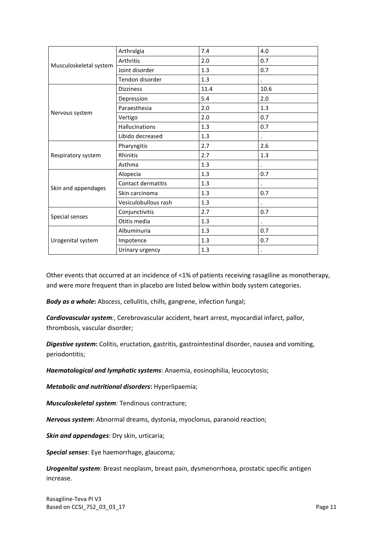|                        | Arthralgia                | 7.4  | 4.0  |
|------------------------|---------------------------|------|------|
|                        | Arthritis                 | 2.0  | 0.7  |
| Musculoskeletal system | Joint disorder            | 1.3  | 0.7  |
|                        | Tendon disorder           | 1.3  |      |
|                        | <b>Dizziness</b>          | 11.4 | 10.6 |
|                        | Depression                | 5.4  | 2.0  |
|                        | Paraesthesia              | 2.0  | 1.3  |
| Nervous system         | Vertigo                   | 2.0  | 0.7  |
|                        | <b>Hallucinations</b>     | 1.3  | 0.7  |
|                        | Libido decreased          | 1.3  |      |
|                        | Pharyngitis               | 2.7  | 2.6  |
| Respiratory system     | Rhinitis                  | 2.7  | 1.3  |
|                        | Asthma                    | 1.3  |      |
|                        | Alopecia                  | 1.3  | 0.7  |
|                        | <b>Contact dermatitis</b> | 1.3  |      |
| Skin and appendages    | Skin carcinoma            | 1.3  | 0.7  |
|                        | Vesiculobullous rash      | 1.3  |      |
|                        | Conjunctivitis            | 2.7  | 0.7  |
| Special senses         | Otitis media              | 1.3  |      |
|                        | Albuminuria               | 1.3  | 0.7  |
| Urogenital system      | Impotence                 | 1.3  | 0.7  |
|                        | Urinary urgency           | 1.3  |      |

Other events that occurred at an incidence of <1% of patients receiving rasagiline as monotherapy, and were more frequent than in placebo are listed below within body system categories.

*Body as a whole***:** Abscess, cellulitis, chills, gangrene, infection fungal;

*Cardiovascular system:*, Cerebrovascular accident, heart arrest, myocardial infarct, pallor, thrombosis, vascular disorder;

*Digestive system***:** Colitis, eructation, gastritis, gastrointestinal disorder, nausea and vomiting, periodontitis;

*Haematological and lymphatic systems*: Anaemia, eosinophilia, leucocytosis;

*Metabolic and nutritional disorders***:** Hyperlipaemia;

*Musculoskeletal system:* Tendinous contracture;

*Nervous system***:** Abnormal dreams, dystonia, myoclonus, paranoid reaction;

*Skin and appendages*: Dry skin, urticaria;

*Special senses*: Eye haemorrhage, glaucoma;

*Urogenital system*: Breast neoplasm, breast pain, dysmenorrhoea, prostatic specific antigen increase.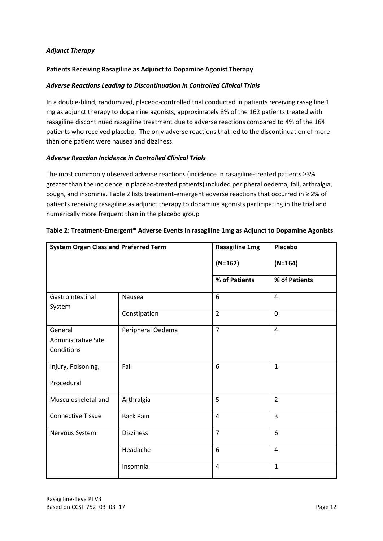#### *Adjunct Therapy*

#### **Patients Receiving Rasagiline as Adjunct to Dopamine Agonist Therapy**

#### *Adverse Reactions Leading to Discontinuation in Controlled Clinical Trials*

In a double-blind, randomized, placebo-controlled trial conducted in patients receiving rasagiline 1 mg as adjunct therapy to dopamine agonists, approximately 8% of the 162 patients treated with rasagiline discontinued rasagiline treatment due to adverse reactions compared to 4% of the 164 patients who received placebo. The only adverse reactions that led to the discontinuation of more than one patient were nausea and dizziness.

#### *Adverse Reaction Incidence in Controlled Clinical Trials*

The most commonly observed adverse reactions (incidence in rasagiline-treated patients ≥3% greater than the incidence in placebo-treated patients) included peripheral oedema, fall, arthralgia, cough, and insomnia. Table 2 lists treatment-emergent adverse reactions that occurred in ≥ 2% of patients receiving rasagiline as adjunct therapy to dopamine agonists participating in the trial and numerically more frequent than in the placebo group

| <b>System Organ Class and Preferred Term</b>        |                   | <b>Rasagiline 1mg</b> | Placebo        |
|-----------------------------------------------------|-------------------|-----------------------|----------------|
|                                                     |                   | $(N=162)$             | $(N=164)$      |
|                                                     |                   | % of Patients         | % of Patients  |
| Gastrointestinal<br>System                          | Nausea            | 6                     | $\overline{4}$ |
|                                                     | Constipation      | $\overline{2}$        | $\mathbf 0$    |
| General<br><b>Administrative Site</b><br>Conditions | Peripheral Oedema | $\overline{7}$        | $\overline{4}$ |
| Injury, Poisoning,<br>Procedural                    | Fall              | 6                     | $\mathbf{1}$   |
| Musculoskeletal and                                 | Arthralgia        | 5                     | $\overline{2}$ |
| <b>Connective Tissue</b>                            | <b>Back Pain</b>  | $\overline{4}$        | $\overline{3}$ |
| Nervous System                                      | <b>Dizziness</b>  | $\overline{7}$        | 6              |
|                                                     | Headache          | 6                     | $\overline{4}$ |
|                                                     | Insomnia          | 4                     | $\mathbf{1}$   |

#### **Table 2: Treatment-Emergent\* Adverse Events in rasagiline 1mg as Adjunct to Dopamine Agonists**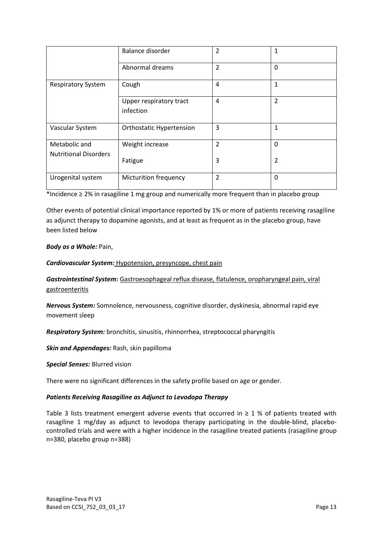|                              | Balance disorder                     | 2              |                |
|------------------------------|--------------------------------------|----------------|----------------|
|                              | Abnormal dreams                      | $\overline{2}$ | 0              |
| <b>Respiratory System</b>    | Cough                                |                | 1              |
|                              | Upper respiratory tract<br>infection | 4              | $\overline{2}$ |
| Vascular System              | <b>Orthostatic Hypertension</b>      | 3              | 1              |
| Metabolic and                | Weight increase                      | $\overline{2}$ | 0              |
| <b>Nutritional Disorders</b> | Fatigue                              | 3              | 2              |
| Urogenital system            | <b>Micturition frequency</b>         | $\overline{2}$ | 0              |

\*Incidence ≥ 2% in rasagiline 1 mg group and numerically more frequent than in placebo group

Other events of potential clinical importance reported by 1% or more of patients receiving rasagiline as adjunct therapy to dopamine agonists, and at least as frequent as in the placebo group, have been listed below

#### *Body as a Whole:* Pain,

*Cardiovascular System:* Hypotension, presyncope, chest pain

*Gastrointestinal System***:** Gastroesophageal reflux disease, flatulence, oropharyngeal pain, viral gastroenteritis

*Nervous System:* Somnolence, nervousness, cognitive disorder, dyskinesia, abnormal rapid eye movement sleep

*Respiratory System:* bronchitis, sinusitis, rhinnorrhea, streptococcal pharyngitis

*Skin and Appendages:* Rash, skin papilloma

*Special Senses:* Blurred vision

There were no significant differences in the safety profile based on age or gender.

#### *Patients Receiving Rasagiline as Adjunct to Levodopa Therapy*

Table 3 lists treatment emergent adverse events that occurred in  $\geq 1$  % of patients treated with rasagiline 1 mg/day as adjunct to levodopa therapy participating in the double-blind, placebocontrolled trials and were with a higher incidence in the rasagiline treated patients (rasagiline group n=380, placebo group n=388)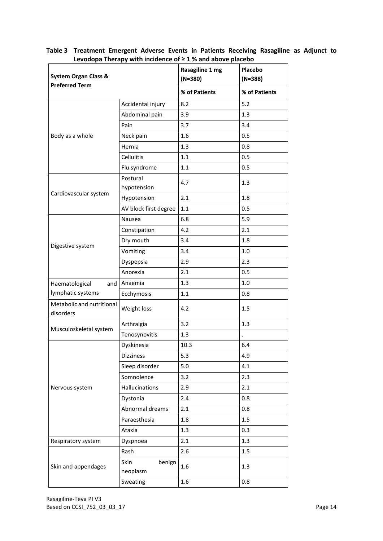| <b>System Organ Class &amp;</b>        |                            | Levodopa Therapy with incluence or 2 1 % and above placebo<br>Rasagiline 1 mg<br>$(N=380)$ | Placebo<br>$(N=388)$ |  |
|----------------------------------------|----------------------------|--------------------------------------------------------------------------------------------|----------------------|--|
| <b>Preferred Term</b>                  |                            | % of Patients                                                                              | % of Patients        |  |
|                                        | Accidental injury          | 8.2                                                                                        | 5.2                  |  |
|                                        | Abdominal pain             | 3.9                                                                                        | 1.3                  |  |
|                                        | Pain                       | 3.7                                                                                        | 3.4                  |  |
| Body as a whole                        | Neck pain                  | 1.6                                                                                        | 0.5                  |  |
|                                        | Hernia                     | 1.3                                                                                        | 0.8                  |  |
|                                        | <b>Cellulitis</b>          | 1.1                                                                                        | 0.5                  |  |
|                                        | Flu syndrome               | 1.1                                                                                        | 0.5                  |  |
|                                        | Postural<br>hypotension    | 4.7                                                                                        | 1.3                  |  |
| Cardiovascular system                  | Hypotension                | 2.1                                                                                        | 1.8                  |  |
|                                        | AV block first degree      | $1.1$                                                                                      | 0.5                  |  |
|                                        | Nausea                     | 6.8                                                                                        | 5.9                  |  |
|                                        | Constipation               | 4.2                                                                                        | 2.1                  |  |
|                                        | Dry mouth                  | 3.4                                                                                        | 1.8                  |  |
| Digestive system                       | Vomiting                   | 3.4                                                                                        | 1.0                  |  |
|                                        | Dyspepsia                  | 2.9                                                                                        | 2.3                  |  |
|                                        | Anorexia                   | 2.1                                                                                        | 0.5                  |  |
| Haematological<br>and                  | Anaemia                    | 1.3                                                                                        | 1.0                  |  |
| lymphatic systems                      | Ecchymosis                 | 1.1                                                                                        | 0.8                  |  |
| Metabolic and nutritional<br>disorders | Weight loss                | 4.2                                                                                        | 1.5                  |  |
|                                        | Arthralgia                 | 3.2                                                                                        | 1.3                  |  |
| Musculoskeletal system                 | Tenosynovitis              | 1.3                                                                                        |                      |  |
|                                        | Dyskinesia                 | 10.3                                                                                       | 6.4                  |  |
|                                        | Dizziness                  | 5.3                                                                                        | 4.9                  |  |
|                                        | Sleep disorder             | 5.0                                                                                        | 4.1                  |  |
|                                        | Somnolence                 | 3.2                                                                                        | 2.3                  |  |
| Nervous system                         | Hallucinations             | 2.9                                                                                        | 2.1                  |  |
|                                        | Dystonia                   | 2.4                                                                                        | 0.8                  |  |
|                                        | Abnormal dreams            | 2.1                                                                                        | 0.8                  |  |
|                                        | Paraesthesia               | 1.8                                                                                        | 1.5                  |  |
|                                        | Ataxia                     | 1.3                                                                                        | 0.3                  |  |
| Respiratory system                     | Dyspnoea                   | 2.1                                                                                        | 1.3                  |  |
|                                        | Rash                       | 2.6                                                                                        | 1.5                  |  |
| Skin and appendages                    | Skin<br>benign<br>neoplasm | 1.6                                                                                        | 1.3                  |  |
|                                        | Sweating                   | 1.6                                                                                        | 0.8                  |  |

**Table 3 Treatment Emergent Adverse Events in Patients Receiving Rasagiline as Adjunct to Levodopa Therapy with incidence of ≥ 1 % and above placebo**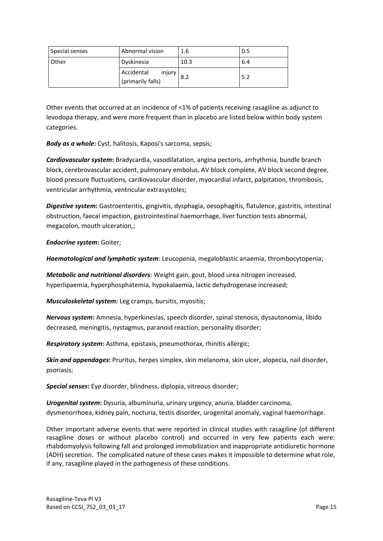| Special senses | Abnormal vision                           | 1.6  | 0.5 |
|----------------|-------------------------------------------|------|-----|
| <b>Other</b>   | Dyskinesia                                | 10.3 | 6.4 |
|                | Accidental<br>injury<br>(primarily falls) | 8.2  | 5.2 |

Other events that occurred at an incidence of <1% of patients receiving rasagiline as adjunct to levodopa therapy, and were more frequent than in placebo are listed below within body system categories.

*Body as a whole***:** Cyst, halitosis, Kaposi's sarcoma, sepsis;

*Cardiovascular system***:** Bradycardia, vasodilatation, angina pectoris, arrhythmia, bundle branch block, cerebrovascular accident, pulmonary embolus, AV block complete, AV block second degree, blood pressure fluctuations, cardiovascular disorder, myocardial infarct, palpitation, thrombosis, ventricular arrhythmia, ventricular extrasystoles;

*Digestive system***:** Gastroenteritis, gingivitis, dysphagia, oesophagitis, flatulence, gastritis, intestinal obstruction, faecal impaction, gastrointestinal haemorrhage, liver function tests abnormal, megacolon, mouth ulceration,;

*Endocrine system***:** Goiter;

*Haematological and lymphatic system*: Leucopenia, megaloblastic anaemia, thrombocytopenia;

*Metabolic and nutritional disorders*: Weight gain, gout, blood urea nitrogen increased, hyperlipaemia, hyperphosphatemia, hypokalaemia, lactic dehydrogenase increased;

*Musculoskeletal system:* Leg cramps, bursitis, myositis;

*Nervous system***:** Amnesia, hyperkinesias, speech disorder, spinal stenosis, dysautonomia, libido decreased, meningitis, nystagmus, paranoid reaction, personality disorder;

*Respiratory system***:** Asthma, epistaxis, pneumothorax, rhinitis allergic;

*Skin and appendages***:** Pruritus, herpes simplex, skin melanoma, skin ulcer, alopecia, nail disorder, psoriasis;

*Special senses***:** Eye disorder, blindness, diplopia, vitreous disorder;

*Urogenital system***:** Dysuria, albuminuria, urinary urgency, anuria, bladder carcinoma, dysmenorrhoea, kidney pain, nocturia, testis disorder, urogenital anomaly, vaginal haemorrhage.

Other important adverse events that were reported in clinical studies with rasagiline (of different rasagiline doses or without placebo control) and occurred in very few patients each were: rhabdomyolysis following fall and prolonged immobilization and inappropriate antidiuretic hormone (ADH) secretion. The complicated nature of these cases makes it impossible to determine what role, if any, rasagiline played in the pathogenesis of these conditions.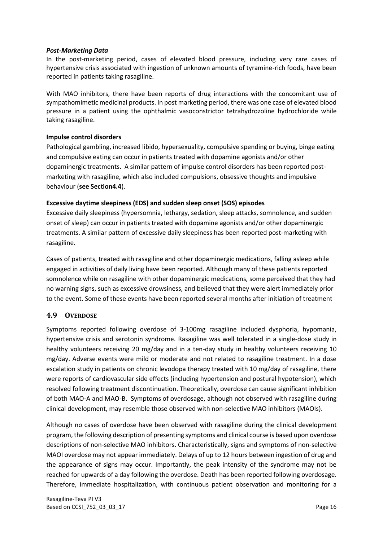#### *Post-Marketing Data*

In the post-marketing period, cases of elevated blood pressure, including very rare cases of hypertensive crisis associated with ingestion of unknown amounts of tyramine-rich foods, have been reported in patients taking rasagiline.

With MAO inhibitors, there have been reports of drug interactions with the concomitant use of sympathomimetic medicinal products. In post marketing period, there was one case of elevated blood pressure in a patient using the ophthalmic vasoconstrictor tetrahydrozoline hydrochloride while taking rasagiline.

#### **Impulse control disorders**

Pathological gambling, increased libido, hypersexuality, compulsive spending or buying, binge eating and compulsive eating can occur in patients treated with dopamine agonists and/or other dopaminergic treatments. A similar pattern of impulse control disorders has been reported postmarketing with rasagiline, which also included compulsions, obsessive thoughts and impulsive behaviour (**see Section4.4**).

#### **Excessive daytime sleepiness (EDS) and sudden sleep onset (SOS) episodes**

Excessive daily sleepiness (hypersomnia, lethargy, sedation, sleep attacks, somnolence, and sudden onset of sleep) can occur in patients treated with dopamine agonists and/or other dopaminergic treatments. A similar pattern of excessive daily sleepiness has been reported post-marketing with rasagiline.

Cases of patients, treated with rasagiline and other dopaminergic medications, falling asleep while engaged in activities of daily living have been reported. Although many of these patients reported somnolence while on rasagiline with other dopaminergic medications, some perceived that they had no warning signs, such as excessive drowsiness, and believed that they were alert immediately prior to the event. Some of these events have been reported several months after initiation of treatment

#### **4.9 OVERDOSE**

Symptoms reported following overdose of 3-100mg rasagiline included dysphoria, hypomania, hypertensive crisis and serotonin syndrome. Rasagiline was well tolerated in a single-dose study in healthy volunteers receiving 20 mg/day and in a ten-day study in healthy volunteers receiving 10 mg/day. Adverse events were mild or moderate and not related to rasagiline treatment. In a dose escalation study in patients on chronic levodopa therapy treated with 10 mg/day of rasagiline, there were reports of cardiovascular side effects (including hypertension and postural hypotension), which resolved following treatment discontinuation. Theoretically, overdose can cause significant inhibition of both MAO-A and MAO-B. Symptoms of overdosage, although not observed with rasagiline during clinical development, may resemble those observed with non-selective MAO inhibitors (MAOIs).

Although no cases of overdose have been observed with rasagiline during the clinical development program, the following description of presenting symptoms and clinical course is based upon overdose descriptions of non-selective MAO inhibitors. Characteristically, signs and symptoms of non-selective MAOI overdose may not appear immediately. Delays of up to 12 hours between ingestion of drug and the appearance of signs may occur. Importantly, the peak intensity of the syndrome may not be reached for upwards of a day following the overdose. Death has been reported following overdosage. Therefore, immediate hospitalization, with continuous patient observation and monitoring for a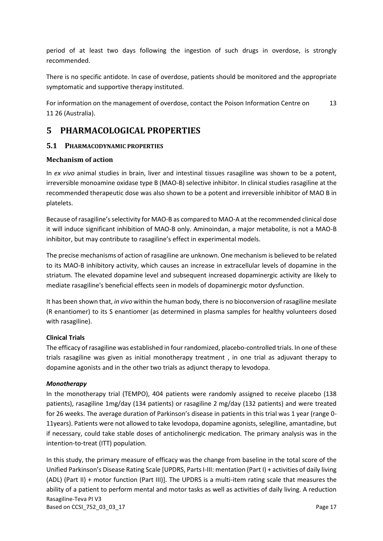period of at least two days following the ingestion of such drugs in overdose, is strongly recommended.

There is no specific antidote. In case of overdose, patients should be monitored and the appropriate symptomatic and supportive therapy instituted.

For information on the management of overdose, contact the Poison Information Centre on 13 11 26 (Australia).

# **5 PHARMACOLOGICAL PROPERTIES**

## **5.1 PHARMACODYNAMIC PROPERTIES**

#### **Mechanism of action**

In *ex vivo* animal studies in brain, liver and intestinal tissues rasagiline was shown to be a potent, irreversible monoamine oxidase type B (MAO-B) selective inhibitor. In clinical studies rasagiline at the recommended therapeutic dose was also shown to be a potent and irreversible inhibitor of MAO B in platelets.

Because of rasagiline's selectivity for MAO-B as compared to MAO-A at the recommended clinical dose it will induce significant inhibition of MAO-B only. Aminoindan, a major metabolite, is not a MAO-B inhibitor, but may contribute to rasagiline's effect in experimental models.

The precise mechanisms of action of rasagiline are unknown. One mechanism is believed to be related to its MAO-B inhibitory activity, which causes an increase in extracellular levels of dopamine in the striatum. The elevated dopamine level and subsequent increased dopaminergic activity are likely to mediate rasagiline's beneficial effects seen in models of dopaminergic motor dysfunction.

It has been shown that, *in vivo* within the human body, there is no bioconversion of rasagiline mesilate (R enantiomer) to its S enantiomer (as determined in plasma samples for healthy volunteers dosed with rasagiline).

#### **Clinical Trials**

The efficacy of rasagiline was established in four randomized, placebo-controlled trials. In one of these trials rasagiline was given as initial monotherapy treatment , in one trial as adjuvant therapy to dopamine agonists and in the other two trials as adjunct therapy to levodopa.

#### *Monotherapy*

In the monotherapy trial (TEMPO), 404 patients were randomly assigned to receive placebo (138 patients), rasagiline 1mg/day (134 patients) or rasagiline 2 mg/day (132 patients) and were treated for 26 weeks. The average duration of Parkinson's disease in patients in this trial was 1 year (range 0- 11years). Patients were not allowed to take levodopa, dopamine agonists, selegiline, amantadine, but if necessary, could take stable doses of anticholinergic medication. The primary analysis was in the intention-to-treat (ITT) population.

Rasagiline-Teva PI V3 Based on CCSI\_752\_03\_03\_17 **Page 17** In this study, the [primary](javascript:defwindow() measure of efficacy was the change from baseline in the total score of the Unified Parkinson's Disease Rating Scale [UPDRS, Parts I-III: mentation (Part I) + activities of daily living (ADL) (Part II) + motor function (Part III)]. The UPDRS is a multi-item rating [scale](javascript:defwindow() that measures the ability of a patient to perform mental and motor tasks as well as activities of daily living. A reduction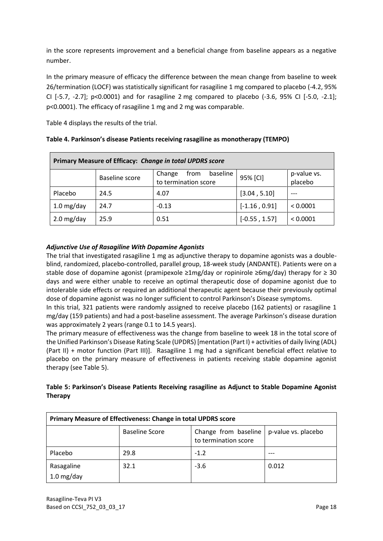in the score represents improvement and a beneficial change from baseline appears as a negative number.

In the primary measure of efficacy the difference between the mean change from baseline to week 26/termination (LOCF) was statistically significant for rasagiline 1 mg compared to placebo (-4.2, 95% CI [-5.7, -2.7]; p<0.0001) and for rasagiline 2 mg compared to placebo (-3.6, 95% CI [-5.0, -2.1]; p<0.0001). The efficacy of rasagiline 1 mg and 2 mg was comparable.

Table 4 displays the results of the trial.

| Primary Measure of Efficacy: Change in total UPDRS score |                       |                                                    |                 |                        |  |
|----------------------------------------------------------|-----------------------|----------------------------------------------------|-----------------|------------------------|--|
|                                                          | <b>Baseline score</b> | baseline<br>Change<br>from<br>to termination score | 95% [CI]        | p-value vs.<br>placebo |  |
| Placebo                                                  | 24.5                  | 4.07                                               | [3.04, 5.10]    |                        |  |
| $1.0$ mg/day                                             | 24.7                  | $-0.13$                                            | $[-1.16, 0.91]$ | < 0.0001               |  |
| $2.0$ mg/day                                             | 25.9                  | 0.51                                               | $[-0.55, 1.57]$ | < 0.0001               |  |

|  | Table 4. Parkinson's disease Patients receiving rasagiline as monotherapy (TEMPO) |  |
|--|-----------------------------------------------------------------------------------|--|
|--|-----------------------------------------------------------------------------------|--|

## *Adjunctive Use of Rasagiline With Dopamine Agonists*

The trial that investigated rasagiline 1 mg as adjunctive therapy to dopamine agonists was a doubleblind, randomized, placebo-controlled, parallel group, 18-week study (ANDANTE). Patients were on a stable dose of dopamine agonist (pramipexole ≥1mg/day or ropinirole ≥6mg/day) therapy for ≥ 30 days and were either unable to receive an optimal therapeutic dose of dopamine agonist due to intolerable side effects or required an additional therapeutic agent because their previously optimal dose of dopamine agonist was no longer sufficient to control Parkinson's Disease symptoms.

In this trial, 321 patients were randomly assigned to receive placebo (162 patients) or rasagiline 1 mg/day (159 patients) and had a post-baseline assessment. The average Parkinson's disease duration was approximately 2 years (range 0.1 to 14.5 years).

The primary measure of effectiveness was the change from baseline to week 18 in the total score of the Unified Parkinson's Disease Rating Scale (UPDRS) [mentation (Part I) + activities of daily living (ADL) (Part II) + motor function (Part III)]. Rasagiline 1 mg had a significant beneficial effect relative to placebo on the primary measure of effectiveness in patients receiving stable dopamine agonist therapy (see Table 5).

| Table 5: Parkinson's Disease Patients Receiving rasagiline as Adjunct to Stable Dopamine Agonist |  |
|--------------------------------------------------------------------------------------------------|--|
| Therapy                                                                                          |  |

| Primary Measure of Effectiveness: Change in total UPDRS score |                                                                                              |        |       |  |  |  |
|---------------------------------------------------------------|----------------------------------------------------------------------------------------------|--------|-------|--|--|--|
|                                                               | <b>Baseline Score</b><br>Change from baseline<br>p-value vs. placebo<br>to termination score |        |       |  |  |  |
| Placebo                                                       | 29.8                                                                                         | $-1.2$ |       |  |  |  |
| Rasagaline<br>1.0 mg/day                                      | 32.1                                                                                         | $-3.6$ | 0.012 |  |  |  |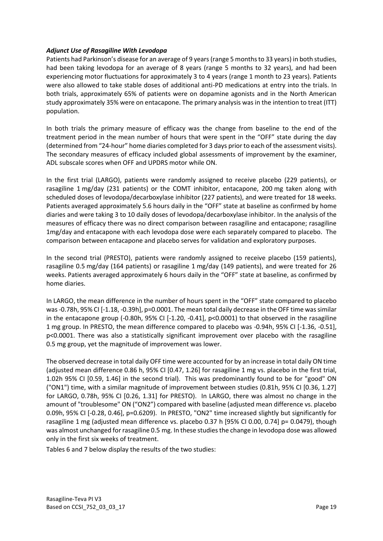#### *Adjunct Use of Rasagiline With Levodopa*

Patients had Parkinson's disease for an average of 9 years (range 5 months to 33 years) in both studies, had been taking levodopa for an average of 8 years (range 5 months to 32 years), and had been experiencing motor fluctuations for approximately 3 to 4 years (range 1 month to 23 years). Patients were also allowed to take stable doses of additional anti-PD medications at entry into the trials. In both trials, approximately 65% of patients were on dopamine agonists and in the North American study approximately 35% were on entacapone. The primary analysis was in the intention to treat (ITT) population.

In both trials the primary measure of efficacy was the change from baseline to the end of the treatment period in the mean number of hours that were spent in the "OFF" state during the day (determined from "24-hour" home diaries completed for 3 days prior to each of the assessment visits). The secondary measures of efficacy included global assessments of improvement by the examiner, ADL subscale scores when OFF and UPDRS motor while ON.

In the first trial (LARGO), patients were randomly assigned to receive placebo (229 patients), or rasagiline 1 mg/day (231 patients) or the COMT inhibitor, entacapone, 200 mg taken along with scheduled doses of levodopa/decarboxylase inhibitor (227 patients), and were treated for 18 weeks. Patients averaged approximately 5.6 hours daily in the "OFF" state at baseline as confirmed by home diaries and were taking 3 to 10 daily doses of levodopa/decarboxylase inhibitor. In the analysis of the measures of efficacy there was no direct comparison between rasagiline and entacapone; rasagiline 1mg/day and entacapone with each levodopa dose were each separately compared to placebo. The comparison between entacapone and placebo serves for validation and exploratory purposes.

In the second trial (PRESTO), patients were randomly assigned to receive placebo (159 patients), rasagiline 0.5 mg/day (164 patients) or rasagiline 1 mg/day (149 patients), and were treated for 26 weeks. Patients averaged approximately 6 hours daily in the "OFF" state at baseline, as confirmed by home diaries.

In LARGO, the mean difference in the number of hours spent in the "OFF" state compared to placebo was -0.78h, 95% CI [-1.18, -0.39h], p=0.0001. The mean total daily decrease in the OFF time was similar in the entacapone group (-0.80h,  $95\%$  CI [-1.20, -0.41], p<0.0001) to that observed in the rasagiline 1 mg group. In PRESTO, the mean difference compared to placebo was -0.94h, 95% CI [-1.36, -0.51], p<0.0001. There was also a statistically significant improvement over placebo with the rasagiline 0.5 mg group, yet the magnitude of improvement was lower.

The observed decrease in total daily OFF time were accounted for by an increase in total daily ON time (adjusted mean difference 0.86 h, 95% CI [0.47, 1.26] for rasagiline 1 mg vs. placebo in the first trial, 1.02h 95% CI [0.59, 1.46] in the second trial). This was predominantly found to be for "good" ON ("ON1") time, with a similar magnitude of improvement between studies (0.81h, 95% CI [0.36, 1.27] for LARGO, 0.78h, 95% CI [0.26, 1.31] for PRESTO). In LARGO, there was almost no change in the amount of "troublesome" ON ("ON2") compared with baseline (adjusted mean difference vs. placebo 0.09h, 95% CI [-0.28, 0.46], p=0.6209). In PRESTO, "ON2" time increased slightly but significantly for rasagiline 1 mg (adjusted mean difference vs. placebo 0.37 h [95% CI 0.00, 0.74] p= 0.0479), though was almost unchanged for rasagiline 0.5 mg. In these studies the change in levodopa dose was allowed only in the first six weeks of treatment.

Tables 6 and 7 below display the results of the two studies: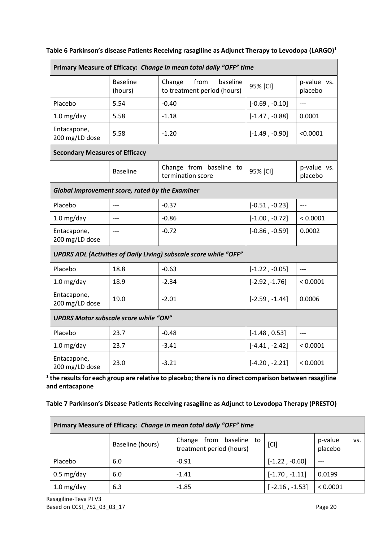| Primary Measure of Efficacy: Change in mean total daily "OFF" time |                            |                                                                          |                  |                          |  |
|--------------------------------------------------------------------|----------------------------|--------------------------------------------------------------------------|------------------|--------------------------|--|
|                                                                    | <b>Baseline</b><br>(hours) | from<br>baseline<br>Change<br>to treatment period (hours)                | 95% [CI]         | p-value vs.<br>placebo   |  |
| Placebo                                                            | 5.54                       | $-0.40$                                                                  | $[-0.69, -0.10]$ | $\overline{\phantom{a}}$ |  |
| $1.0$ mg/day                                                       | 5.58                       | $-1.18$                                                                  | $[-1.47, -0.88]$ | 0.0001                   |  |
| Entacapone,<br>200 mg/LD dose                                      | 5.58                       | $-1.20$                                                                  | $[-1.49, -0.90]$ | < 0.0001                 |  |
| <b>Secondary Measures of Efficacy</b>                              |                            |                                                                          |                  |                          |  |
|                                                                    | <b>Baseline</b>            | Change from baseline to<br>termination score                             | 95% [CI]         | p-value vs.<br>placebo   |  |
| Global Improvement score, rated by the Examiner                    |                            |                                                                          |                  |                          |  |
| Placebo                                                            | $---$                      | $-0.37$                                                                  | $[-0.51, -0.23]$ | $---$                    |  |
| $1.0$ mg/day                                                       | $---$                      | $-0.86$                                                                  | $[-1.00, -0.72]$ | < 0.0001                 |  |
| Entacapone,<br>200 mg/LD dose                                      | $---$                      | $-0.72$                                                                  | $[-0.86, -0.59]$ | 0.0002                   |  |
|                                                                    |                            | <b>UPDRS ADL (Activities of Daily Living) subscale score while "OFF"</b> |                  |                          |  |
| Placebo                                                            | 18.8                       | $-0.63$                                                                  | $[-1.22, -0.05]$ | $---$                    |  |
| $1.0$ mg/day                                                       | 18.9                       | $-2.34$                                                                  | $[-2.92, -1.76]$ | < 0.0001                 |  |
| Entacapone,<br>200 mg/LD dose                                      | 19.0                       | $-2.01$                                                                  | $[-2.59, -1.44]$ | 0.0006                   |  |
| <b>UPDRS Motor subscale score while "ON"</b>                       |                            |                                                                          |                  |                          |  |
| Placebo                                                            | 23.7                       | $-0.48$                                                                  | $[-1.48, 0.53]$  | $---$                    |  |
| $1.0$ mg/day                                                       | 23.7                       | $-3.41$                                                                  | $[-4.41, -2.42]$ | < 0.0001                 |  |
| Entacapone,<br>200 mg/LD dose                                      | 23.0                       | $-3.21$                                                                  | $[-4.20, -2.21]$ | < 0.0001                 |  |

## **Table 6 Parkinson's disease Patients Receiving rasagiline as Adjunct Therapy to Levodopa (LARGO)<sup>1</sup>**

**1 the results for each group are relative to placebo; there is no direct comparison between rasagiline and entacapone**

#### **Table 7 Parkinson's Disease Patients Receiving rasagiline as Adjunct to Levodopa Therapy (PRESTO)**

| Primary Measure of Efficacy: Change in mean total daily "OFF" time |                  |                                                        |                  |                           |  |  |
|--------------------------------------------------------------------|------------------|--------------------------------------------------------|------------------|---------------------------|--|--|
|                                                                    | Baseline (hours) | from baseline to<br>Change<br>treatment period (hours) | [CI]             | p-value<br>VS.<br>placebo |  |  |
| Placebo                                                            | 6.0              | $-0.91$                                                | $[-1.22, -0.60]$ | $---$                     |  |  |
| $0.5 \text{ mg/day}$                                               | 6.0              | $-1.41$                                                | $[-1.70, -1.11]$ | 0.0199                    |  |  |
| $1.0$ mg/day                                                       | 6.3              | $-1.85$                                                | $[-2.16, -1.53]$ | < 0.0001                  |  |  |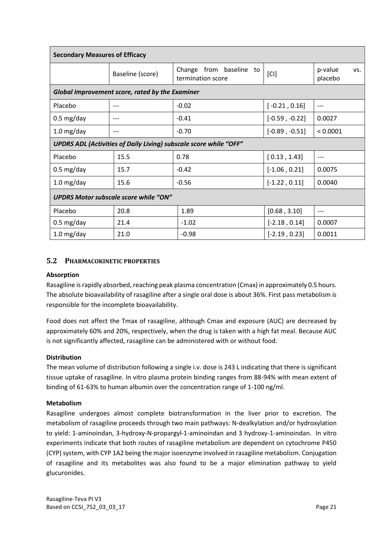| <b>Secondary Measures of Efficacy</b>                                    |                  |                                              |                  |                           |  |  |
|--------------------------------------------------------------------------|------------------|----------------------------------------------|------------------|---------------------------|--|--|
|                                                                          | Baseline (score) | Change from baseline to<br>termination score | [CI]             | p-value<br>VS.<br>placebo |  |  |
| Global Improvement score, rated by the Examiner                          |                  |                                              |                  |                           |  |  |
| Placebo                                                                  | ---              | $-0.02$                                      | $[-0.21, 0.16]$  | ---                       |  |  |
| $0.5 \text{ mg/day}$                                                     |                  | $-0.41$                                      | $[-0.59, -0.22]$ | 0.0027                    |  |  |
| $1.0$ mg/day                                                             |                  | $-0.70$                                      | $[-0.89, -0.51]$ | < 0.0001                  |  |  |
| <b>UPDRS ADL (Activities of Daily Living) subscale score while "OFF"</b> |                  |                                              |                  |                           |  |  |
| Placebo                                                                  | 15.5             | 0.78                                         | [0.13, 1.43]     | $---$                     |  |  |
| $0.5 \text{ mg/day}$                                                     | 15.7             | $-0.42$                                      | $[-1.06, 0.21]$  | 0.0075                    |  |  |
| $1.0$ mg/day                                                             | 15.6             | $-0.56$                                      | $[-1.22, 0.11]$  | 0.0040                    |  |  |
| <b>UPDRS Motor subscale score while "ON"</b>                             |                  |                                              |                  |                           |  |  |
| Placebo                                                                  | 20.8             | 1.89                                         | [0.68, 3.10]     | $---$                     |  |  |
| $0.5 \text{ mg/day}$                                                     | 21.4             | $-1.02$                                      | $[-2.18, 0.14]$  | 0.0007                    |  |  |
| $1.0$ mg/day                                                             | 21.0             | $-0.98$                                      | $[-2.19, 0.23]$  | 0.0011                    |  |  |

## **5.2 PHARMACOKINETIC PROPERTIES**

#### **Absorption**

Rasagiline is rapidly absorbed, reaching peak plasma concentration (Cmax) in approximately 0.5 hours. The absolute bioavailability of rasagiline after a single oral dose is about 36%. First pass metabolism is responsible for the incomplete bioavailability.

Food does not affect the Tmax of rasagiline, although Cmax and exposure (AUC) are decreased by approximately 60% and 20%, respectively, when the drug is taken with a high fat meal. Because AUC is not significantly affected, rasagiline can be administered with or without food.

#### **Distribution**

The mean volume of distribution following a single i.v. dose is 243 L indicating that there is significant tissue uptake of rasagiline. In vitro plasma protein binding ranges from 88-94% with mean extent of binding of 61-63% to human albumin over the concentration range of 1-100 ng/ml.

#### **Metabolism**

Rasagiline undergoes almost complete biotransformation in the liver prior to excretion. The metabolism of rasagiline proceeds through two main pathways: N-dealkylation and/or hydroxylation to yield: 1-aminoindan, 3-hydroxy-N-propargyl-1-aminoindan and 3 hydroxy-1-aminoindan. In vitro experiments indicate that both routes of rasagiline metabolism are dependent on cytochrome P450 (CYP) system, with CYP 1A2 being the major isoenzyme involved in rasagiline metabolism. Conjugation of rasagiline and its metabolites was also found to be a major elimination pathway to yield glucuronides.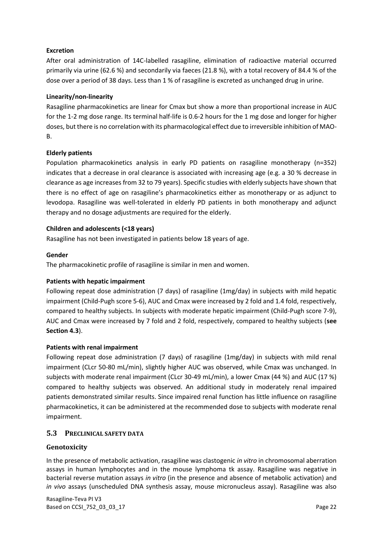#### **Excretion**

After oral administration of 14C-labelled rasagiline, elimination of radioactive material occurred primarily via urine (62.6 %) and secondarily via faeces (21.8 %), with a total recovery of 84.4 % of the dose over a period of 38 days. Less than 1 % of rasagiline is excreted as unchanged drug in urine.

#### **Linearity/non-linearity**

Rasagiline pharmacokinetics are linear for Cmax but show a more than proportional increase in AUC for the 1-2 mg dose range. Its terminal half-life is 0.6-2 hours for the 1 mg dose and longer for higher doses, but there is no correlation with its pharmacological effect due to irreversible inhibition of MAO-B.

#### **Elderly patients**

Population pharmacokinetics analysis in early PD patients on rasagiline monotherapy (n=352) indicates that a decrease in oral clearance is associated with increasing age (e.g. a 30 % decrease in clearance as age increases from 32 to 79 years). Specific studies with elderly subjects have shown that there is no effect of age on rasagiline's pharmacokinetics either as monotherapy or as adjunct to levodopa. Rasagiline was well-tolerated in elderly PD patients in both monotherapy and adjunct therapy and no dosage adjustments are required for the elderly.

#### **Children and adolescents (<18 years)**

Rasagiline has not been investigated in patients below 18 years of age.

#### **Gender**

The pharmacokinetic profile of rasagiline is similar in men and women.

#### **Patients with hepatic impairment**

Following repeat dose administration (7 days) of rasagiline (1mg/day) in subjects with mild hepatic impairment (Child-Pugh score 5-6), AUC and Cmax were increased by 2 fold and 1.4 fold, respectively, compared to healthy subjects. In subjects with moderate hepatic impairment (Child-Pugh score 7-9), AUC and Cmax were increased by 7 fold and 2 fold, respectively, compared to healthy subjects (**see Section 4.3**).

#### **Patients with renal impairment**

Following repeat dose administration (7 days) of rasagiline (1mg/day) in subjects with mild renal impairment (CLcr 50-80 mL/min), slightly higher AUC was observed, while Cmax was unchanged. In subjects with moderate renal impairment (CLcr 30-49 mL/min), a lower Cmax (44 %) and AUC (17 %) compared to healthy subjects was observed. An additional study in moderately renal impaired patients demonstrated similar results. Since impaired renal function has little influence on rasagiline pharmacokinetics, it can be administered at the recommended dose to subjects with moderate renal impairment.

#### **5.3 PRECLINICAL SAFETY DATA**

#### **Genotoxicity**

In the presence of metabolic activation, rasagiline was clastogenic *in vitro* in chromosomal aberration assays in human lymphocytes and in the mouse lymphoma tk assay. Rasagiline was negative in bacterial reverse mutation assays *in vitro* (in the presence and absence of metabolic activation) and *in vivo* assays (unscheduled DNA synthesis assay, mouse micronucleus assay). Rasagiline was also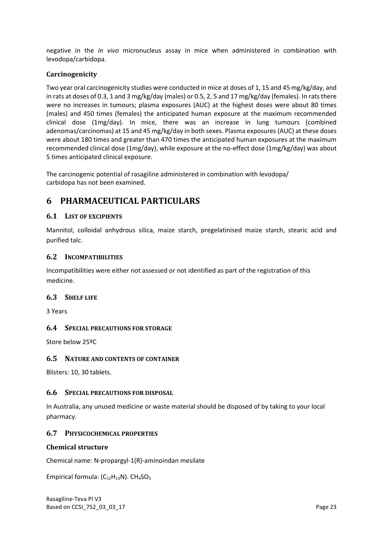negative in the *in vivo* micronucleus assay in mice when administered in combination with levodopa/carbidopa.

#### **Carcinogenicity**

Two year oral carcinogenicity studies were conducted in mice at doses of 1, 15 and 45 mg/kg/day, and in rats at doses of 0.3, 1 and 3 mg/kg/day (males) or 0.5, 2, 5 and 17 mg/kg/day (females). In rats there were no increases in tumours; plasma exposures (AUC) at the highest doses were about 80 times (males) and 450 times (females) the anticipated human exposure at the maximum recommended clinical dose (1mg/day). In mice, there was an increase in lung tumours (combined adenomas/carcinomas) at 15 and 45 mg/kg/day in both sexes. Plasma exposures (AUC) at these doses were about 180 times and greater than 470 times the anticipated human exposures at the maximum recommended clinical dose (1mg/day), while exposure at the no-effect dose (1mg/kg/day) was about 5 times anticipated clinical exposure.

The carcinogenic potential of rasagiline administered in combination with levodopa/ carbidopa has not been examined.

# **6 PHARMACEUTICAL PARTICULARS**

#### **6.1 LIST OF EXCIPIENTS**

Mannitol, colloidal anhydrous silica, maize starch, pregelatinised maize starch, stearic acid and purified talc.

#### **6.2 INCOMPATIBILITIES**

Incompatibilities were either not assessed or not identified as part of the registration of this medicine.

#### **6.3 SHELF LIFE**

3 Years

#### **6.4 SPECIAL PRECAUTIONS FOR STORAGE**

Store below 25ºC

#### **6.5 NATURE AND CONTENTS OF CONTAINER**

Blisters: 10, 30 tablets.

#### **6.6 SPECIAL PRECAUTIONS FOR DISPOSAL**

In Australia, any unused medicine or waste material should be disposed of by taking to your local pharmacy.

#### **6.7 PHYSICOCHEMICAL PROPERTIES**

#### **Chemical structure**

Chemical name: N-propargyl-1(R)-aminoindan mesilate

Empirical formula:  $(C_{12}H_{13}N)$ . CH<sub>4</sub>SO<sub>3</sub>